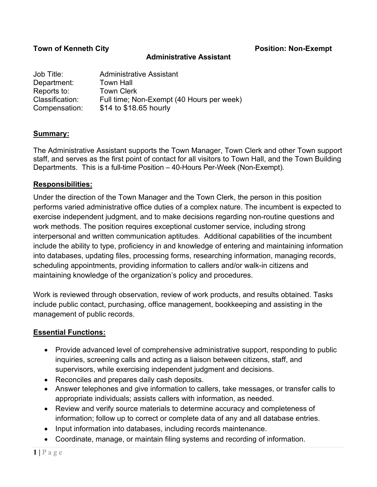### **Town of Kenneth City Position: Non-Exempt**

#### **Administrative Assistant**

| Job Title:      | Administrative Assistant                  |
|-----------------|-------------------------------------------|
| Department:     | <b>Town Hall</b>                          |
| Reports to:     | <b>Town Clerk</b>                         |
| Classification: | Full time; Non-Exempt (40 Hours per week) |
| Compensation:   | \$14 to \$18.65 hourly                    |

### **Summary:**

The Administrative Assistant supports the Town Manager, Town Clerk and other Town support staff, and serves as the first point of contact for all visitors to Town Hall, and the Town Building Departments. This is a full-time Position – 40-Hours Per-Week (Non-Exempt).

### **Responsibilities:**

Under the direction of the Town Manager and the Town Clerk, the person in this position performs varied administrative office duties of a complex nature. The incumbent is expected to exercise independent judgment, and to make decisions regarding non-routine questions and work methods. The position requires exceptional customer service, including strong interpersonal and written communication aptitudes. Additional capabilities of the incumbent include the ability to type, proficiency in and knowledge of entering and maintaining information into databases, updating files, processing forms, researching information, managing records, scheduling appointments, providing information to callers and/or walk-in citizens and maintaining knowledge of the organization's policy and procedures.

Work is reviewed through observation, review of work products, and results obtained. Tasks include public contact, purchasing, office management, bookkeeping and assisting in the management of public records.

# **Essential Functions:**

- Provide advanced level of comprehensive administrative support, responding to public inquiries, screening calls and acting as a liaison between citizens, staff, and supervisors, while exercising independent judgment and decisions.
- Reconciles and prepares daily cash deposits.
- Answer telephones and give information to callers, take messages, or transfer calls to appropriate individuals; assists callers with information, as needed.
- Review and verify source materials to determine accuracy and completeness of information; follow up to correct or complete data of any and all database entries.
- Input information into databases, including records maintenance.
- Coordinate, manage, or maintain filing systems and recording of information.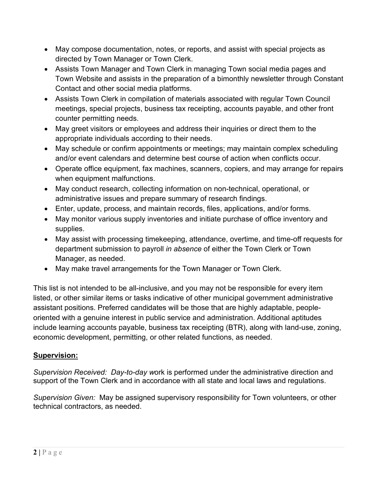- May compose documentation, notes, or reports, and assist with special projects as directed by Town Manager or Town Clerk.
- Assists Town Manager and Town Clerk in managing Town social media pages and Town Website and assists in the preparation of a bimonthly newsletter through Constant Contact and other social media platforms.
- Assists Town Clerk in compilation of materials associated with regular Town Council meetings, special projects, business tax receipting, accounts payable, and other front counter permitting needs.
- May greet visitors or employees and address their inquiries or direct them to the appropriate individuals according to their needs.
- May schedule or confirm appointments or meetings; may maintain complex scheduling and/or event calendars and determine best course of action when conflicts occur.
- Operate office equipment, fax machines, scanners, copiers, and may arrange for repairs when equipment malfunctions.
- May conduct research, collecting information on non-technical, operational, or administrative issues and prepare summary of research findings.
- Enter, update, process, and maintain records, files, applications, and/or forms.
- May monitor various supply inventories and initiate purchase of office inventory and supplies.
- May assist with processing timekeeping, attendance, overtime, and time-off requests for department submission to payroll *in absence* of either the Town Clerk or Town Manager, as needed.
- May make travel arrangements for the Town Manager or Town Clerk.

This list is not intended to be all-inclusive, and you may not be responsible for every item listed, or other similar items or tasks indicative of other municipal government administrative assistant positions. Preferred candidates will be those that are highly adaptable, peopleoriented with a genuine interest in public service and administration. Additional aptitudes include learning accounts payable, business tax receipting (BTR), along with land-use, zoning, economic development, permitting, or other related functions, as needed.

# **Supervision:**

*Supervision Received: Day-to-day w*ork is performed under the administrative direction and support of the Town Clerk and in accordance with all state and local laws and regulations.

*Supervision Given:* May be assigned supervisory responsibility for Town volunteers, or other technical contractors, as needed.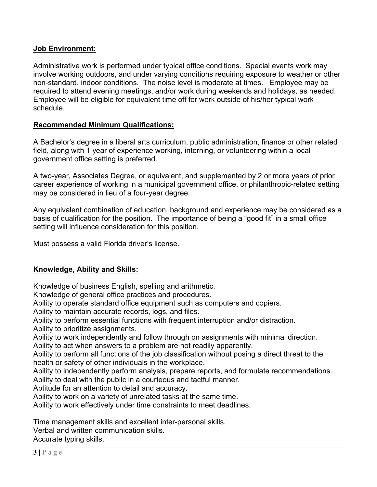## **Job Environment:**

Administrative work is performed under typical office conditions. Special events work may involve working outdoors, and under varying conditions requiring exposure to weather or other non-standard, indoor conditions. The noise level is moderate at times. Employee may be required to attend evening meetings, and/or work during weekends and holidays, as needed. Employee will be eligible for equivalent time off for work outside of his/her typical work schedule.

## **Recommended Minimum Qualifications:**

A Bachelor's degree in a liberal arts curriculum, public administration, finance or other related field, along with 1 year of experience working, interning, or volunteering within a local government office setting is preferred.

A two-year, Associates Degree, or equivalent, and supplemented by 2 or more years of prior career experience of working in a municipal government office, or philanthropic-related setting may be considered in lieu of a four-year degree.

Any equivalent combination of education, background and experience may be considered as a basis of qualification for the position. The importance of being a "good fit" in a small office setting will influence consideration for this position.

Must possess a valid Florida driver's license.

# **Knowledge, Ability and Skills:**

Knowledge of business English, spelling and arithmetic.

Knowledge of general office practices and procedures.

Ability to operate standard office equipment such as computers and copiers.

Ability to maintain accurate records, logs, and files.

Ability to perform essential functions with frequent interruption and/or distraction.

Ability to prioritize assignments.

Ability to work independently and follow through on assignments with minimal direction.

Ability to act when answers to a problem are not readily apparently.

Ability to perform all functions of the job classification without posing a direct threat to the health or safety of other individuals in the workplace.

Ability to independently perform analysis, prepare reports, and formulate recommendations.

Ability to deal with the public in a courteous and tactful manner.

Aptitude for an attention to detail and accuracy.

Ability to work on a variety of unrelated tasks at the same time.

Ability to work effectively under time constraints to meet deadlines.

Time management skills and excellent inter-personal skills.

Verbal and written communication skills.

Accurate typing skills.